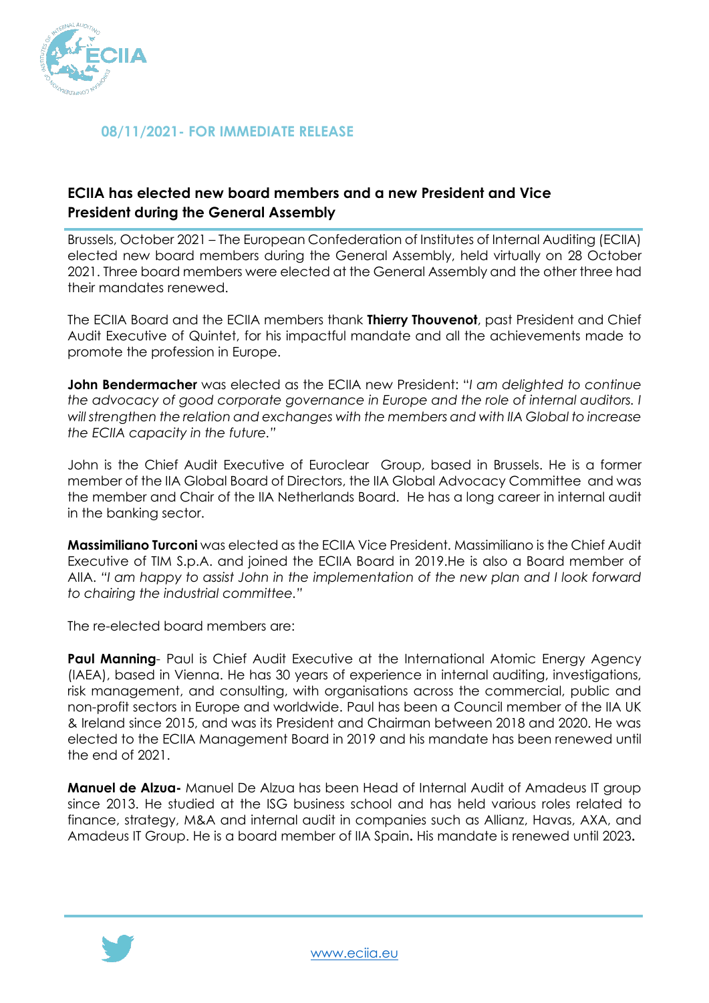

## **08/11/2021- FOR IMMEDIATE RELEASE**

# **ECIIA has elected new board members and a new President and Vice President during the General Assembly**

Brussels, October 2021 – The European Confederation of Institutes of Internal Auditing (ECIIA) elected new board members during the General Assembly, held virtually on 28 October 2021. Three board members were elected at the General Assembly and the other three had their mandates renewed.

The ECIIA Board and the ECIIA members thank **Thierry Thouvenot**, past President and Chief Audit Executive of Quintet, for his impactful mandate and all the achievements made to promote the profession in Europe.

**John Bendermacher** was elected as the ECIIA new President: "*I am delighted to continue the advocacy of good corporate governance in Europe and the role of internal auditors. I will strengthen the relation and exchanges with the members and with IIA Global to increase the ECIIA capacity in the future."*

John is the Chief Audit Executive of Euroclear Group, based in Brussels. He is a former member of the IIA Global Board of Directors, the IIA Global Advocacy Committee and was the member and Chair of the IIA Netherlands Board. He has a long career in internal audit in the banking sector.

**Massimiliano Turconi** was elected as the ECIIA Vice President. Massimiliano is the Chief Audit Executive of TIM S.p.A. and joined the ECIIA Board in 2019.He is also a Board member of AIIA. *"I am happy to assist John in the implementation of the new plan and I look forward to chairing the industrial committee."*

The re-elected board members are:

**Paul Manning**- Paul is Chief Audit Executive at the International Atomic Energy Agency (IAEA), based in Vienna. He has 30 years of experience in internal auditing, investigations, risk management, and consulting, with organisations across the commercial, public and non-profit sectors in Europe and worldwide. Paul has been a Council member of the IIA UK & Ireland since 2015, and was its President and Chairman between 2018 and 2020. He was elected to the ECIIA Management Board in 2019 and his mandate has been renewed until the end of 2021.

**Manuel de Alzua-** Manuel De Alzua has been Head of Internal Audit of Amadeus IT group since 2013. He studied at the ISG business school and has held various roles related to finance, strategy, M&A and internal audit in companies such as Allianz, Havas, AXA, and Amadeus IT Group. He is a board member of IIA Spain**.** His mandate is renewed until 2023**.**